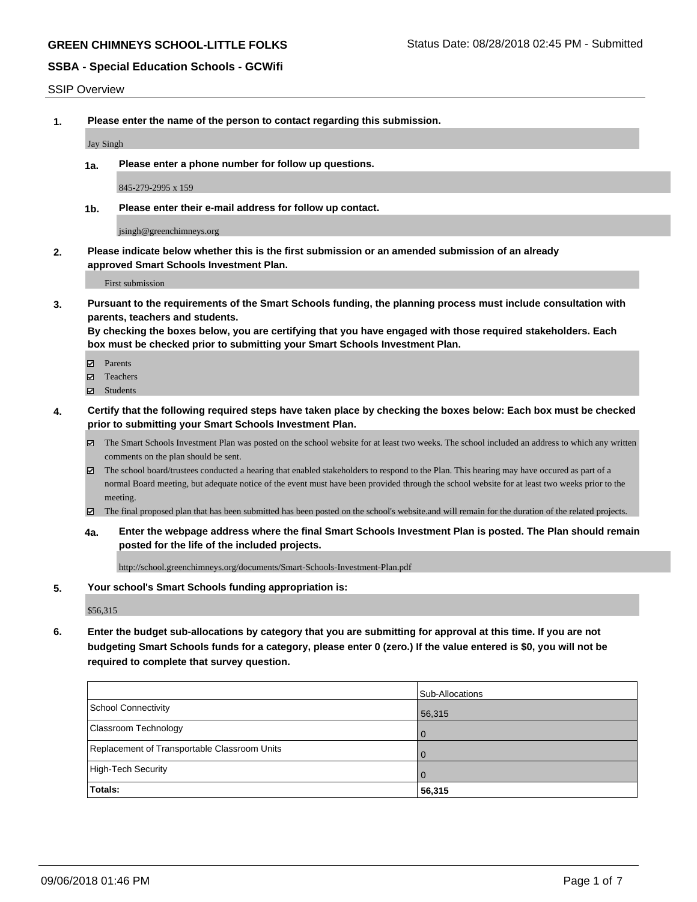SSIP Overview

**1. Please enter the name of the person to contact regarding this submission.**

Jay Singh

**1a. Please enter a phone number for follow up questions.**

845-279-2995 x 159

**1b. Please enter their e-mail address for follow up contact.**

jsingh@greenchimneys.org

**2. Please indicate below whether this is the first submission or an amended submission of an already approved Smart Schools Investment Plan.**

First submission

**3. Pursuant to the requirements of the Smart Schools funding, the planning process must include consultation with parents, teachers and students.**

**By checking the boxes below, you are certifying that you have engaged with those required stakeholders. Each box must be checked prior to submitting your Smart Schools Investment Plan.**

- Parents
- Teachers
- Students
- **4. Certify that the following required steps have taken place by checking the boxes below: Each box must be checked prior to submitting your Smart Schools Investment Plan.**
	- The Smart Schools Investment Plan was posted on the school website for at least two weeks. The school included an address to which any written comments on the plan should be sent.
	- The school board/trustees conducted a hearing that enabled stakeholders to respond to the Plan. This hearing may have occured as part of a normal Board meeting, but adequate notice of the event must have been provided through the school website for at least two weeks prior to the meeting.
	- The final proposed plan that has been submitted has been posted on the school's website.and will remain for the duration of the related projects.
	- **4a. Enter the webpage address where the final Smart Schools Investment Plan is posted. The Plan should remain posted for the life of the included projects.**

http://school.greenchimneys.org/documents/Smart-Schools-Investment-Plan.pdf

#### **5. Your school's Smart Schools funding appropriation is:**

\$56,315

**6. Enter the budget sub-allocations by category that you are submitting for approval at this time. If you are not budgeting Smart Schools funds for a category, please enter 0 (zero.) If the value entered is \$0, you will not be required to complete that survey question.**

| Totals:                                      | 56,315          |
|----------------------------------------------|-----------------|
| High-Tech Security                           | . O             |
| Replacement of Transportable Classroom Units | $\Omega$        |
| <b>Classroom Technology</b>                  | 0               |
| School Connectivity                          | 56,315          |
|                                              | Sub-Allocations |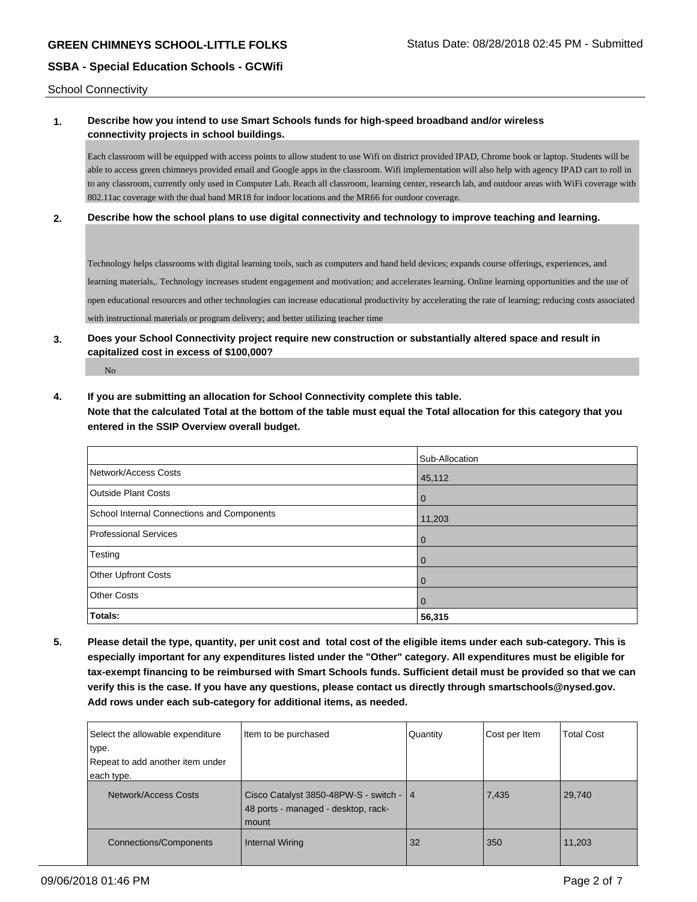School Connectivity

## **1. Describe how you intend to use Smart Schools funds for high-speed broadband and/or wireless connectivity projects in school buildings.**

Each classroom will be equipped with access points to allow student to use Wifi on district provided IPAD, Chrome book or laptop. Students will be able to access green chimneys provided email and Google apps in the classroom. Wifi implementation will also help with agency IPAD cart to roll in to any classroom, currently only used in Computer Lab. Reach all classroom, learning center, research lab, and outdoor areas with WiFi coverage with 802.11ac coverage with the dual band MR18 for indoor locations and the MR66 for outdoor coverage.

#### **2. Describe how the school plans to use digital connectivity and technology to improve teaching and learning.**

Technology helps classrooms with digital learning tools, such as computers and hand held devices; expands course offerings, experiences, and learning materials,. Technology increases student engagement and motivation; and accelerates learning. Online learning opportunities and the use of open educational resources and other technologies can increase educational productivity by accelerating the rate of learning; reducing costs associated with instructional materials or program delivery; and better utilizing teacher time

## **3. Does your School Connectivity project require new construction or substantially altered space and result in capitalized cost in excess of \$100,000?**

No

**4. If you are submitting an allocation for School Connectivity complete this table. Note that the calculated Total at the bottom of the table must equal the Total allocation for this category that you entered in the SSIP Overview overall budget.** 

|                                            | Sub-Allocation |
|--------------------------------------------|----------------|
| Network/Access Costs                       | 45,112         |
| <b>Outside Plant Costs</b>                 | l 0            |
| School Internal Connections and Components | 11,203         |
| Professional Services                      | $\Omega$       |
| Testing                                    | l 0            |
| Other Upfront Costs                        | l O            |
| <b>Other Costs</b>                         | $\Omega$       |
| Totals:                                    | 56,315         |

**5. Please detail the type, quantity, per unit cost and total cost of the eligible items under each sub-category. This is especially important for any expenditures listed under the "Other" category. All expenditures must be eligible for tax-exempt financing to be reimbursed with Smart Schools funds. Sufficient detail must be provided so that we can verify this is the case. If you have any questions, please contact us directly through smartschools@nysed.gov. Add rows under each sub-category for additional items, as needed.**

| Select the allowable expenditure<br>type.<br>Repeat to add another item under<br>each type. | Item to be purchased                                                                      | Quantity | Cost per Item | <b>Total Cost</b> |
|---------------------------------------------------------------------------------------------|-------------------------------------------------------------------------------------------|----------|---------------|-------------------|
| Network/Access Costs                                                                        | Cisco Catalyst 3850-48PW-S - switch -   4<br>48 ports - managed - desktop, rack-<br>mount |          | 7,435         | 29,740            |
| <b>Connections/Components</b>                                                               | <b>Internal Wiring</b>                                                                    | 32       | 350           | 11,203            |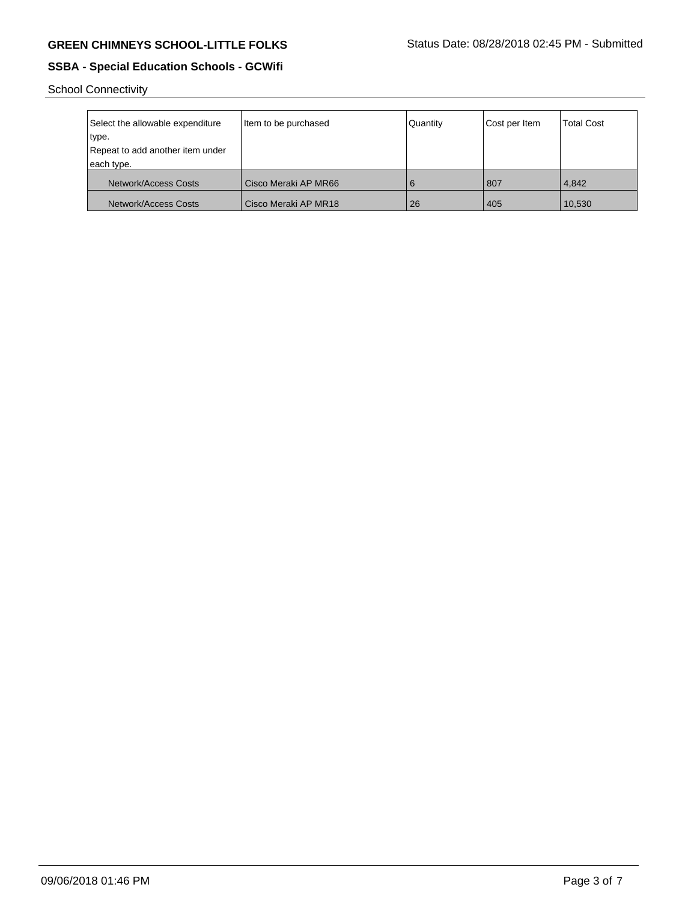School Connectivity

| Select the allowable expenditure<br>type.<br>Repeat to add another item under<br>each type. | Item to be purchased   | Quantity | Cost per Item | <b>Total Cost</b> |
|---------------------------------------------------------------------------------------------|------------------------|----------|---------------|-------------------|
| Network/Access Costs                                                                        | l Cisco Meraki AP MR66 | 6        | 807           | 4.842             |
| Network/Access Costs                                                                        | l Cisco Meraki AP MR18 | 26       | 405           | 10,530            |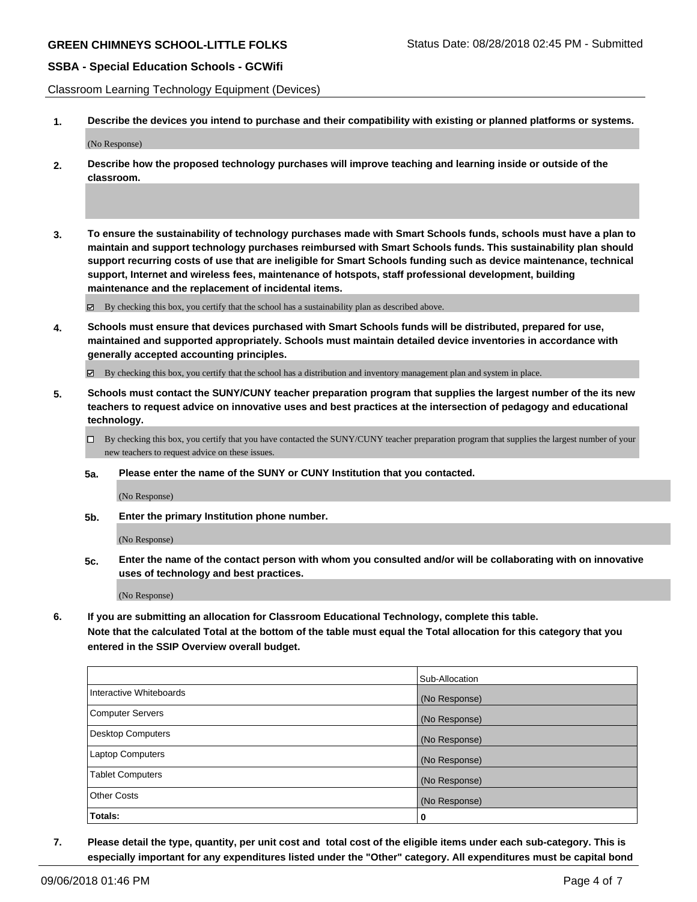Classroom Learning Technology Equipment (Devices)

**1. Describe the devices you intend to purchase and their compatibility with existing or planned platforms or systems.**

(No Response)

- **2. Describe how the proposed technology purchases will improve teaching and learning inside or outside of the classroom.**
- **3. To ensure the sustainability of technology purchases made with Smart Schools funds, schools must have a plan to maintain and support technology purchases reimbursed with Smart Schools funds. This sustainability plan should support recurring costs of use that are ineligible for Smart Schools funding such as device maintenance, technical support, Internet and wireless fees, maintenance of hotspots, staff professional development, building maintenance and the replacement of incidental items.**

By checking this box, you certify that the school has a sustainability plan as described above.

**4. Schools must ensure that devices purchased with Smart Schools funds will be distributed, prepared for use, maintained and supported appropriately. Schools must maintain detailed device inventories in accordance with generally accepted accounting principles.**

 $\boxtimes$  By checking this box, you certify that the school has a distribution and inventory management plan and system in place.

**5. Schools must contact the SUNY/CUNY teacher preparation program that supplies the largest number of the its new teachers to request advice on innovative uses and best practices at the intersection of pedagogy and educational technology.**

By checking this box, you certify that you have contacted the SUNY/CUNY teacher preparation program that supplies the largest number of your new teachers to request advice on these issues.

**5a. Please enter the name of the SUNY or CUNY Institution that you contacted.**

(No Response)

**5b. Enter the primary Institution phone number.**

(No Response)

**5c. Enter the name of the contact person with whom you consulted and/or will be collaborating with on innovative uses of technology and best practices.**

(No Response)

**6. If you are submitting an allocation for Classroom Educational Technology, complete this table.**

**Note that the calculated Total at the bottom of the table must equal the Total allocation for this category that you entered in the SSIP Overview overall budget.**

|                          | Sub-Allocation |
|--------------------------|----------------|
| Interactive Whiteboards  | (No Response)  |
| Computer Servers         | (No Response)  |
| <b>Desktop Computers</b> | (No Response)  |
| <b>Laptop Computers</b>  | (No Response)  |
| <b>Tablet Computers</b>  | (No Response)  |
| <b>Other Costs</b>       | (No Response)  |
| Totals:                  | 0              |

**7. Please detail the type, quantity, per unit cost and total cost of the eligible items under each sub-category. This is especially important for any expenditures listed under the "Other" category. All expenditures must be capital bond**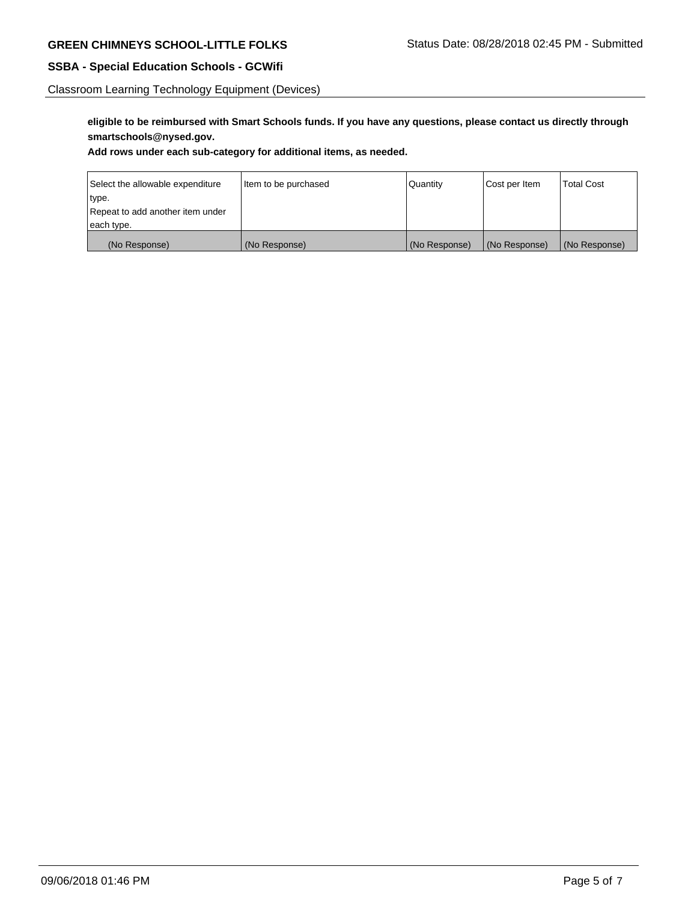Classroom Learning Technology Equipment (Devices)

**eligible to be reimbursed with Smart Schools funds. If you have any questions, please contact us directly through smartschools@nysed.gov.**

**Add rows under each sub-category for additional items, as needed.**

| Select the allowable expenditure | Item to be purchased | Quantity      | Cost per Item | <b>Total Cost</b> |
|----------------------------------|----------------------|---------------|---------------|-------------------|
| type.                            |                      |               |               |                   |
| Repeat to add another item under |                      |               |               |                   |
| each type.                       |                      |               |               |                   |
| (No Response)                    | (No Response)        | (No Response) | (No Response) | (No Response)     |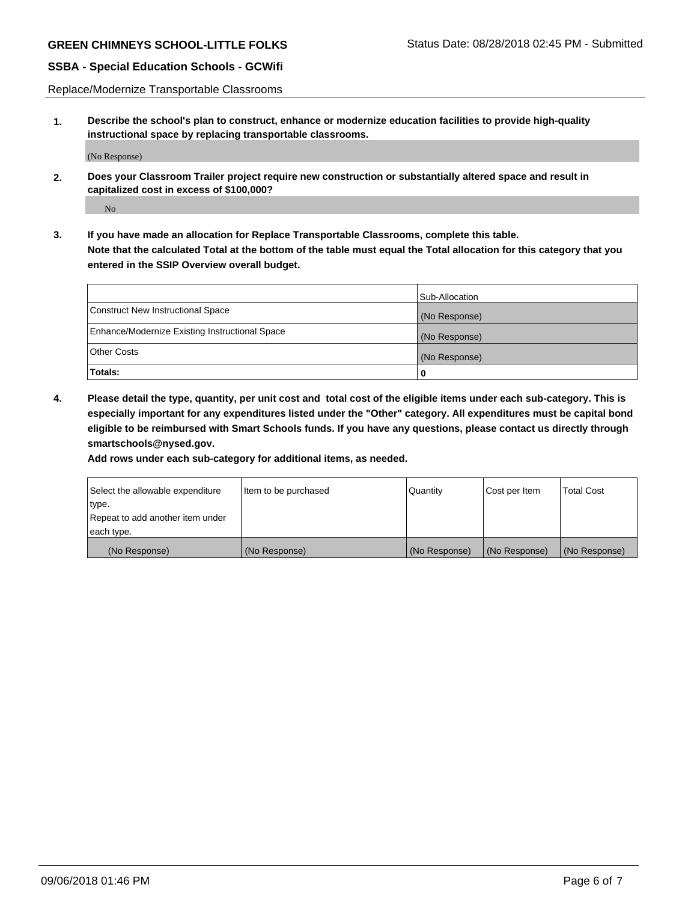Replace/Modernize Transportable Classrooms

**1. Describe the school's plan to construct, enhance or modernize education facilities to provide high-quality instructional space by replacing transportable classrooms.**

(No Response)

**2. Does your Classroom Trailer project require new construction or substantially altered space and result in capitalized cost in excess of \$100,000?**

No

**3. If you have made an allocation for Replace Transportable Classrooms, complete this table. Note that the calculated Total at the bottom of the table must equal the Total allocation for this category that you entered in the SSIP Overview overall budget.**

|                                                | Sub-Allocation |
|------------------------------------------------|----------------|
| Construct New Instructional Space              | (No Response)  |
| Enhance/Modernize Existing Instructional Space | (No Response)  |
| Other Costs                                    | (No Response)  |
| Totals:                                        | 0              |

**4. Please detail the type, quantity, per unit cost and total cost of the eligible items under each sub-category. This is especially important for any expenditures listed under the "Other" category. All expenditures must be capital bond eligible to be reimbursed with Smart Schools funds. If you have any questions, please contact us directly through smartschools@nysed.gov.**

**Add rows under each sub-category for additional items, as needed.**

| Select the allowable expenditure | Item to be purchased | Quantity      | Cost per Item | <b>Total Cost</b> |
|----------------------------------|----------------------|---------------|---------------|-------------------|
| 'type.                           |                      |               |               |                   |
| Repeat to add another item under |                      |               |               |                   |
| each type.                       |                      |               |               |                   |
| (No Response)                    | (No Response)        | (No Response) | (No Response) | (No Response)     |